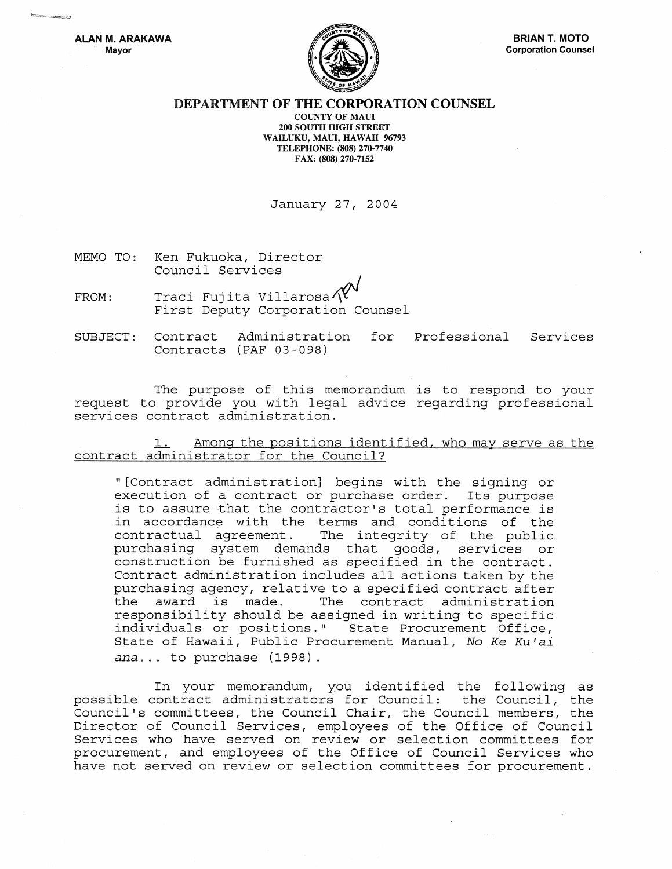

## DEPARTMENT OF THE CORPORATION COUNSEL

COUNTY OF MAUl 200 SOUTH HIGH STREET WAILUKU, MAUl, HAWAII 96793 TELEPHONE: (808) 270-7740 FAX: (808) 270-7152

January 27, 2004

MEMO TO: Ken Fukuoka, Director Council Services

 $FROM:$  Traci Fujita Villarosa $\text{X}^{\vee}$  First Deputy Corporation Counsel

SUBJECT: Contract Administration Contracts (PAF 03-098) for Professional Services

The purpose of this memorandum is to respond to your request to provide you with legal advice regarding professional services contract administration .

1. Among the positions identified, who may serve as the contract administrator for the Council?

"[Contract administration] begins with the signing or execution of a contract or purchase order. Its purpose is to assure that the contractor's total performance is in accordance with the terms and conditions of the<br>contractual agreement. The integrity of the public The integrity of the public purchasing system demands that goods, services or construction be furnished as specified in the contract. Contract administration includes all actions taken by the purchasing agency, relative to a specified contract after<br>the award is made. The contract administration The contract administration responsibility should be assigned in writing to specific individuals or positions." State Procurement Office, State of Hawaii, Public Procurement Manual, No *Ke KU'ai ana ...* to purchase (1998).

In your memorandum, you identified the following as possible contract administrators for Council: the Council, the Council's committees, the Council Chair, the Council members, the Director of Council Services, employees of the Office of Council Services who have served on review or selection committees for procurement, and employees of the Office of Council Services who have not served on review or selection committees for procurement.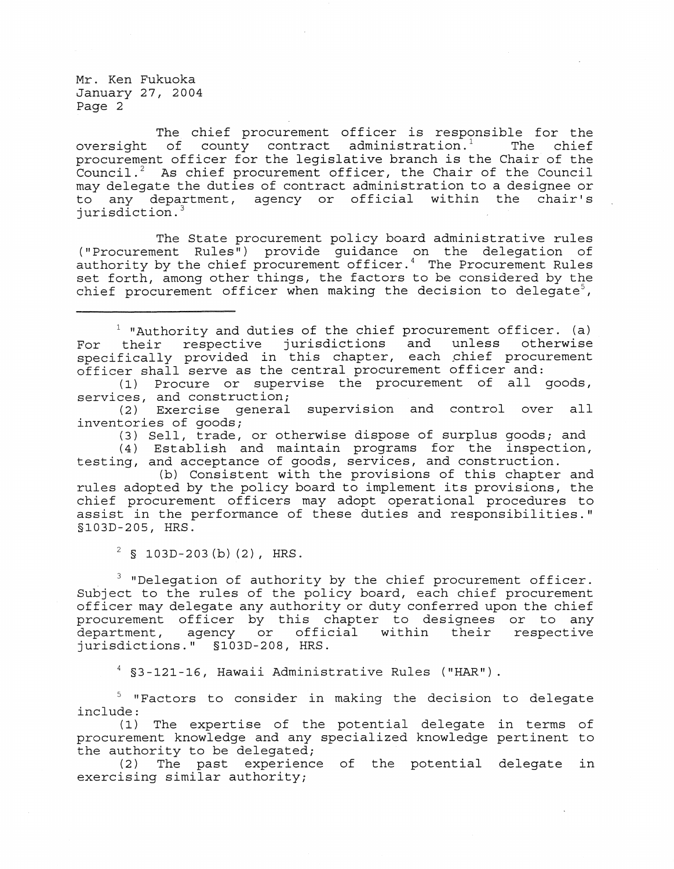The chief procurement officer is responsible for the of county contract administration.<sup>1</sup> The chief oversight of county contract administration.<sup>1</sup> procurement officer for the legislative branch is the Chair of the Council.<sup>2</sup> As chief procurement officer, the Chair of the Council may delegate the duties of contract administration to a designee or to any department, agency or official within the chair's jurisdiction. <sup>3</sup>

The State procurement policy board administrative rules ("Procurement Rules") provide guidance on the delegation of authority by the chief procurement officer.<sup>4</sup> The Procurement Rules set forth, among other things, the factors to be considered by the chief procurement officer when making the decision to delegate<sup>5</sup>,

 $1$  "Authority and duties of the chief procurement officer. (a) For their respective jurisdictions and unless otherwise specifically provided in this chapter, each chief procurement officer shall serve as the central procurement officer and:

(1) Procure or supervise the procurement of all goods, services, and construction;

(2) Exercise general supervision and control over all inventories of goods;

(3) Sell, trade, or otherwise dispose of surplus goods; and

(4) Establish and maintain programs for the inspection, testing, and acceptance of goods, services, and construction.

(b) Consistent with the provisions of this chapter and rules adopted by the policy board to implement its provisions, the chief procurement officers may adopt operational procedures to assist in the performance of these duties and responsibilities." §103D-205, HRS.

 $2$  § 103D-203 (b) (2), HRS.

 $3$  "Delegation of authority by the chief procurement officer. Subject to the rules of the policy board, each chief procurement officer may delegate any authority or duty conferred upon the chief procurement officer by this chapter to designees or to any department, agency or official within their respective jurisdictions." §103D-208, HRS.

§3-121-16, Hawaii Administrative Rules ("HAR").

 $5$  "Factors to consider in making the decision to delegate include:<br>(1)

The expertise of the potential delegate in terms of procurement knowledge and any specialized knowledge pertinent to the authority to be delegated;

(2) The past experience of the potential delegate in exercising similar authority;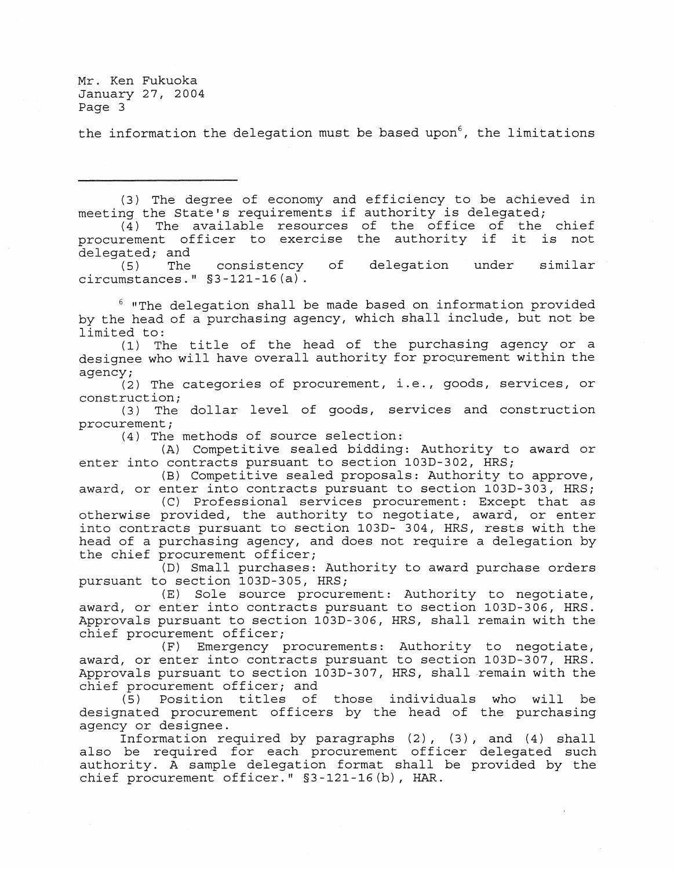the information the delegation must be based upon $^6$ , the limitations

(3) The degree of economy and efficiency to be aChieved in meeting the State's requirements if authority is delegated;

 $(4)$  The available resources of the office of the chief procurement officer to exercise the authority if it is not

delegated; and<br>(5) The (5) The circumstances." §3-121-16 (a) . consistency of delegation under similar

 $6$  "The delegation shall be made based on information provided by the head of a purchasing agency, which shall include, but not be limited to:

(1) The title of the head of the purchasing agency or a designee who will have overall authority for procurement within the agency;

 $(2)$  The categories of procurement, i.e., goods, services, or construction;

(3) The dollar level of goods, services and construction procurement;

(4) The methods of source selection:

(A) Competitive sealed bidding: Authority to award or enter into contracts pursuant to section 103D-302, HRS;

(B) Competitive sealed proposals: Authority to approve, award, or enter into contracts pursuant to section 103D-303, HRS;

*(C)* Professional services procurement: Except that as otherwise provided, the authority to negotiate, award, or enter into contracts pursuant to section 103D- 304, HRS, rests with the head of a purchasing agency, and does not require a delegation by the chief procurement officer;

(D) Small purchases: Authority to award purchase orders pursuant to section 103D-305, HRS;

(E) Sole source procurement: Authority to negotiate, award, or enter into contracts pursuant to section 103D-306, HRS. Approvals pursuant to section 103D-306, HRS, shall remain with the chief procurement officer;

(F) Emergency procurements: Authority to negotiate, award, or enter into contracts pursuant to section 103D-307, HRS. Approvals pursuant to section 103D-307, HRS, shall remain with the chief procurement officer; and

(5) Position titles of those individuals who will be designated procurement officers by the head of the purchasing agency or designee.

Information required by paragraphs (2), (3), and (4) shall also be required for each procurement officer delegated such authority. A sample delegation format shall be provided by the chief procurement officer." §3-121-16(b), HAR.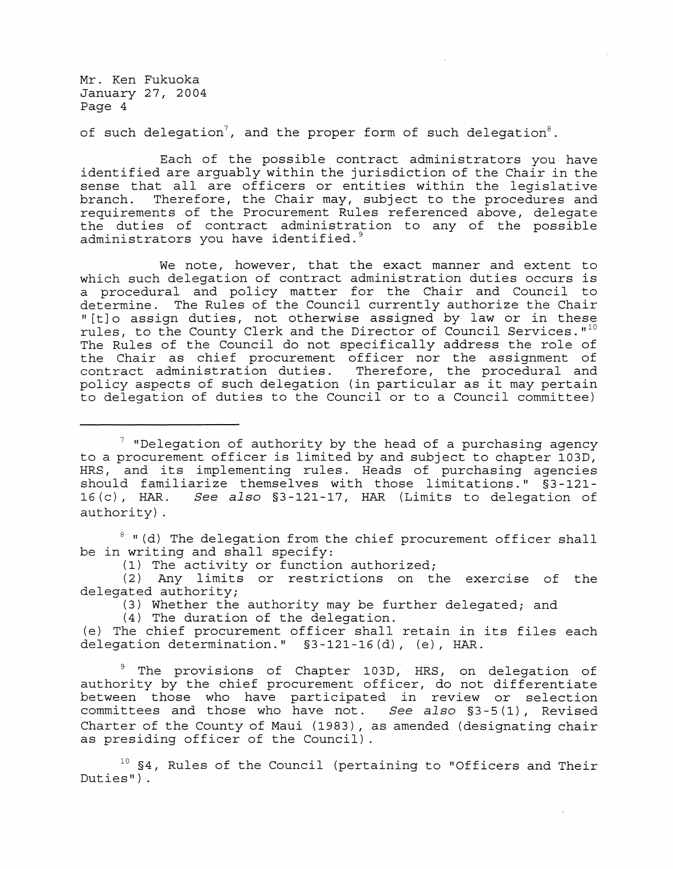of such delegation<sup>7</sup>, and the proper form of such delegation<sup>8</sup>.

Each of the possible contract administrators you have identified are arguably within the jurisdiction of the Chair in the sense that all are officers or entities within the legislative<br>branch. Therefore, the Chair may, subject to the procedures and Therefore, the Chair may, subject to the procedures and requirements of the Procurement Rules referenced above, delegate the duties of contract administration to any of the possible administrators you have identified. $9$ 

We note, however, that the exact manner and extent to which such delegation of contract administration duties occurs is a procedural and policy matter for the Chair and Council to determine. The Rules of the Council currently authorize the Chair " [t] 0 assign duties, not otherwise assigned by law or in these rules, to the County Clerk and the Director of Council Services."<sup>10</sup> The Rules of the Council do not specifically address the role of the Chair as chief procurement officer nor the assignment of contract administration duties. Therefore, the procedural and policy aspects of such delegation (in particular as it may pertain to delegation of duties to the Councilor to a Council committee)

 $7$  "Delegation of authority by the head of a purchasing agency to a procurement officer is limited by and subject to chapter 103D, HRS, and its implementing rules. Heads of purchasing agencies should familiarize themselves with those limitations."  $\S$ 3-121-<br>16(c), HAR. See also  $\S$ 3-121-17, HAR (Limits to delegation of 16 (c), HAR. *See also* §3-121-17, HAR (Limits to delegation of authority) .

 $8$  "(d) The delegation from the chief procurement officer shall be in writing and shall specify:

(1) The activity or function authorized;

(2) Any limits or restrictions on the exercise of the delegated authority;

(3) Whether the authority may be further delegated; and

(4) The duration of the delegation.

(e) The chief procurement officer shall retain in its files each delegation determination."  $§3-121-16(d)$ , (e), HAR.

 $9$  The provisions of Chapter 103D, HRS, on delegation of authority by the chief procurement officer, do not differentiate between those who have participated in review or selection<br>committees and those who have not. See also §3-5(1), Revised committees and those who have not. Charter of the County of Maui (1983), as amended (designating chair as presiding officer of the Council) .

 $10$  S4, Rules of the Council (pertaining to "Officers and Their  $Duties'$ ).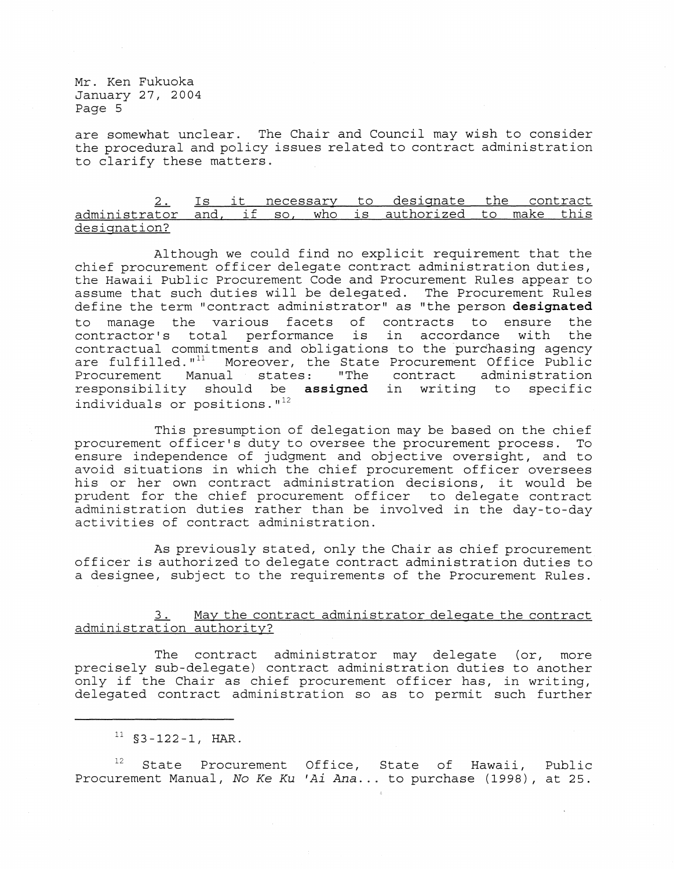are somewhat unclear. The Chair and Council may wish to consider the procedural and policy issues related to contract administration to clarify these matters.

 $2.$ administrator and, if so, who is authorized to make this designation? Is it necessary to designate the contract

Although we could find no explicit requirement that the chief procurement officer delegate contract administration duties, the Hawaii Public Procurement Code and Procurement Rules appear to assume that such duties will be delegated. The Procurement Rules define the term "contract administrator" as "the person **designated**  to manage the various facets of contracts to ensure the contractor's total performance is in accordance with the contractual commitments and obligations to the purchasing agency<br>are fulfilled."<sup>11</sup> Moreover, the State Procurement Office Public are fulfilled."<sup>11</sup> Moreover, the State Procurement Office Public<br>Procurement Manual states: "The contract administration "The contract administration responsibility should be **assigned** in writing to specific individuals or positions. $1^{12}$ 

This presumption of delegation may be based on the chief<br>t officer's duty to oversee the procurement process. To procurement officer's duty to oversee the procurement process. ensure independence of judgment and objective oversight, and to avoid situations in which the chief procurement officer oversees his or her own contract administration decisions, it would be prudent for the chief procurement officer to delegate contract administration duties rather than be involved in the day-to-day activities of contract administration.

As previously stated, only the Chair as chief procurement officer is authorized to delegate contract administration duties to a designee, subject to the requirements of the Procurement Rules.

3. May the contract administrator delegate the contract administration authority?

The contract administrator may delegate (or, more precisely sub-delegate) contract administration duties to another only if the Chair as chief procurement officer has, in writing, delegated contract administration so as to permit such further

State Procurement Office, State of Hawaii, Public Procurement Manual, No *Ke Ku 'Ai Ana ...* to purchase (1998), at 25.

 $11$  §3-122-1, HAR.